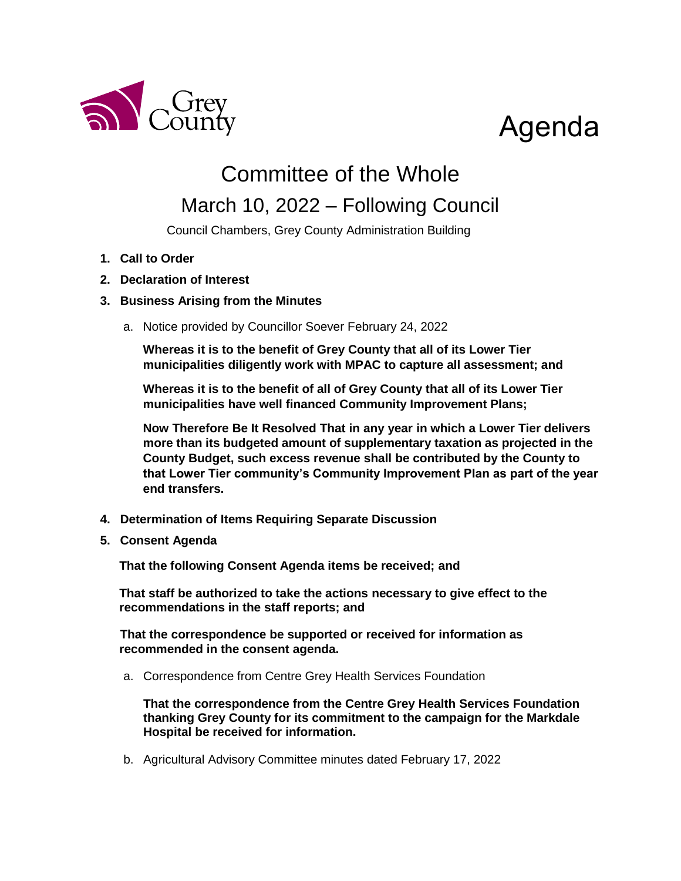

# Agenda

## Committee of the Whole

### March 10, 2022 – Following Council

Council Chambers, Grey County Administration Building

- **1. Call to Order**
- **2. Declaration of Interest**

### **3. Business Arising from the Minutes**

a. Notice provided by Councillor Soever February 24, 2022

**Whereas it is to the benefit of Grey County that all of its Lower Tier municipalities diligently work with MPAC to capture all assessment; and**

**Whereas it is to the benefit of all of Grey County that all of its Lower Tier municipalities have well financed Community Improvement Plans;**

**Now Therefore Be It Resolved That in any year in which a Lower Tier delivers more than its budgeted amount of supplementary taxation as projected in the County Budget, such excess revenue shall be contributed by the County to that Lower Tier community's Community Improvement Plan as part of the year end transfers.**

- **4. Determination of Items Requiring Separate Discussion**
- **5. Consent Agenda**

**That the following Consent Agenda items be received; and**

**That staff be authorized to take the actions necessary to give effect to the recommendations in the staff reports; and**

**That the correspondence be supported or received for information as recommended in the consent agenda.**

a. Correspondence from Centre Grey Health Services Foundation

**That the correspondence from the Centre Grey Health Services Foundation thanking Grey County for its commitment to the campaign for the Markdale Hospital be received for information.** 

b. Agricultural Advisory Committee minutes dated February 17, 2022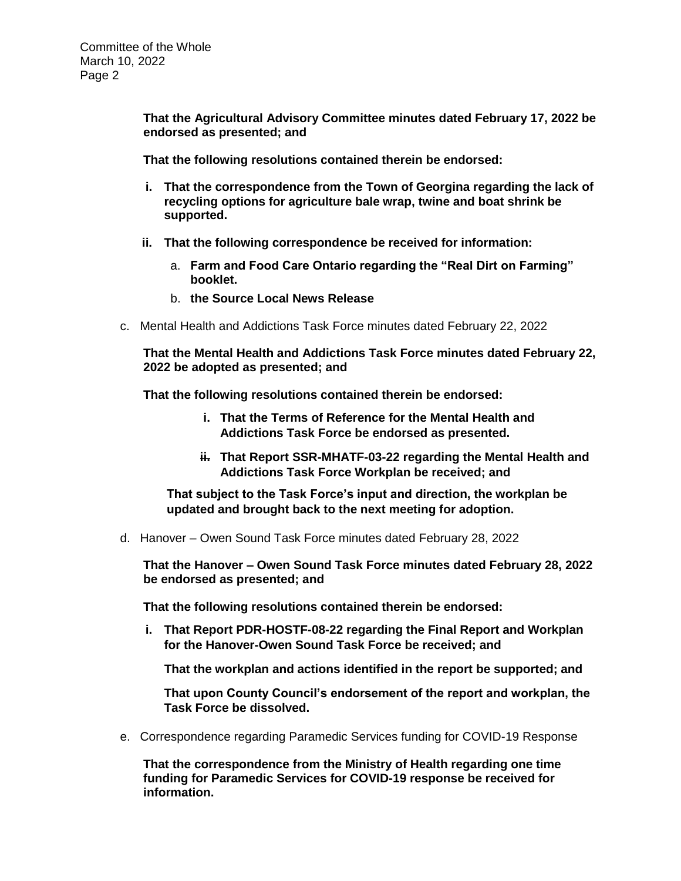**That the Agricultural Advisory Committee minutes dated February 17, 2022 be endorsed as presented; and**

**That the following resolutions contained therein be endorsed:**

- **i. That the correspondence from the Town of Georgina regarding the lack of recycling options for agriculture bale wrap, twine and boat shrink be supported.**
- **ii. That the following correspondence be received for information:**
	- a. **Farm and Food Care Ontario regarding the "Real Dirt on Farming" booklet.**
	- b. **the Source Local News Release**
- c. Mental Health and Addictions Task Force minutes dated February 22, 2022

**That the Mental Health and Addictions Task Force minutes dated February 22, 2022 be adopted as presented; and**

**That the following resolutions contained therein be endorsed:**

- **i. That the Terms of Reference for the Mental Health and Addictions Task Force be endorsed as presented.**
- **ii. That Report SSR-MHATF-03-22 regarding the Mental Health and Addictions Task Force Workplan be received; and**

**That subject to the Task Force's input and direction, the workplan be updated and brought back to the next meeting for adoption.**

d. Hanover – Owen Sound Task Force minutes dated February 28, 2022

**That the Hanover – Owen Sound Task Force minutes dated February 28, 2022 be endorsed as presented; and** 

**That the following resolutions contained therein be endorsed:**

**i. That Report PDR-HOSTF-08-22 regarding the Final Report and Workplan for the Hanover-Owen Sound Task Force be received; and**

**That the workplan and actions identified in the report be supported; and**

**That upon County Council's endorsement of the report and workplan, the Task Force be dissolved.** 

e. Correspondence regarding Paramedic Services funding for COVID-19 Response

**That the correspondence from the Ministry of Health regarding one time funding for Paramedic Services for COVID-19 response be received for information.**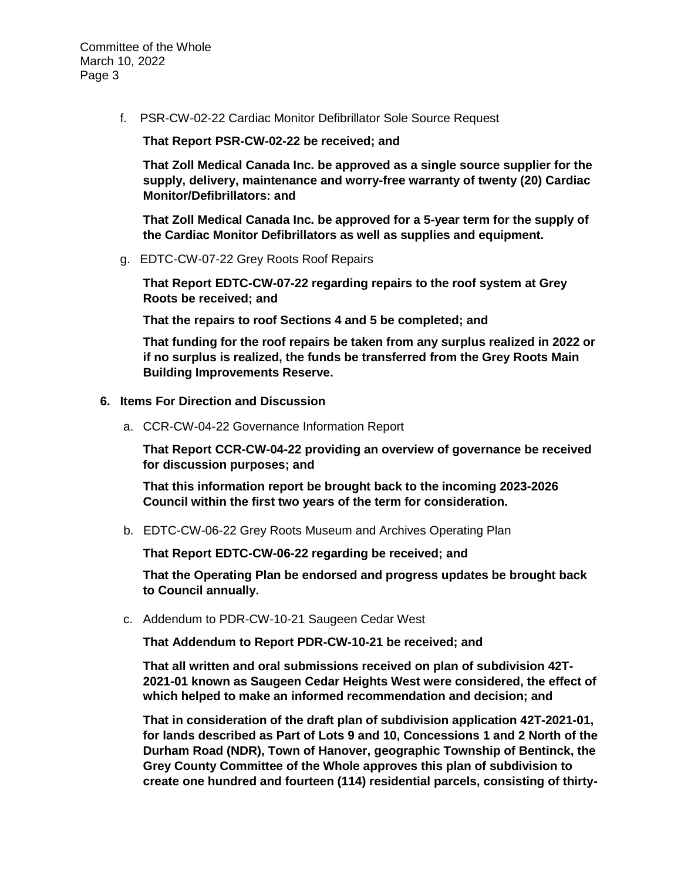Committee of the Whole March 10, 2022 Page 3

f. PSR-CW-02-22 Cardiac Monitor Defibrillator Sole Source Request

**That Report PSR-CW-02-22 be received; and** 

**That Zoll Medical Canada Inc. be approved as a single source supplier for the supply, delivery, maintenance and worry-free warranty of twenty (20) Cardiac Monitor/Defibrillators: and**

**That Zoll Medical Canada Inc. be approved for a 5-year term for the supply of the Cardiac Monitor Defibrillators as well as supplies and equipment.**

g. EDTC-CW-07-22 Grey Roots Roof Repairs

**That Report EDTC-CW-07-22 regarding repairs to the roof system at Grey Roots be received; and**

**That the repairs to roof Sections 4 and 5 be completed; and**

**That funding for the roof repairs be taken from any surplus realized in 2022 or if no surplus is realized, the funds be transferred from the Grey Roots Main Building Improvements Reserve.**

#### **6. Items For Direction and Discussion**

a. CCR-CW-04-22 Governance Information Report

**That Report CCR-CW-04-22 providing an overview of governance be received for discussion purposes; and**

**That this information report be brought back to the incoming 2023-2026 Council within the first two years of the term for consideration.**

b. EDTC-CW-06-22 Grey Roots Museum and Archives Operating Plan

**That Report EDTC-CW-06-22 regarding be received; and**

**That the Operating Plan be endorsed and progress updates be brought back to Council annually.**

c. Addendum to PDR-CW-10-21 Saugeen Cedar West

**That Addendum to Report PDR-CW-10-21 be received; and**

**That all written and oral submissions received on plan of subdivision 42T-2021-01 known as Saugeen Cedar Heights West were considered, the effect of which helped to make an informed recommendation and decision; and**

**That in consideration of the draft plan of subdivision application 42T-2021-01, for lands described as Part of Lots 9 and 10, Concessions 1 and 2 North of the Durham Road (NDR), Town of Hanover, geographic Township of Bentinck, the Grey County Committee of the Whole approves this plan of subdivision to create one hundred and fourteen (114) residential parcels, consisting of thirty-**